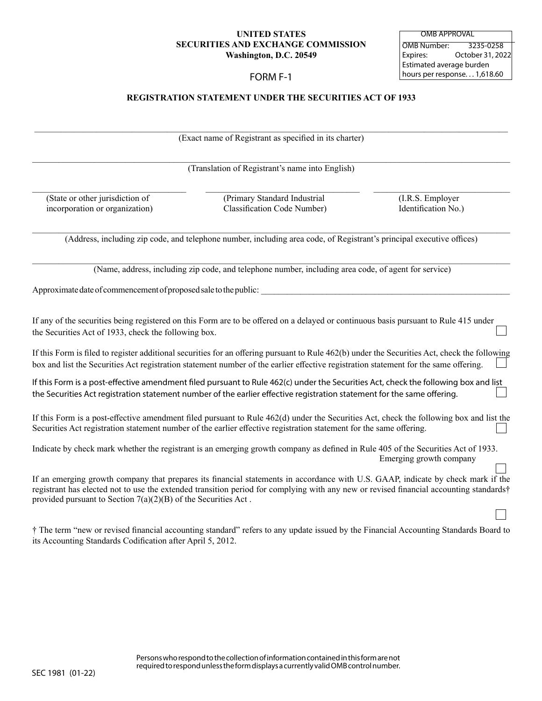## **UNITED STATES SECURITIES AND EXCHANGE COMMISSION Washington, D.C. 20549**

# FORM F-1

OMB Number: 3235-0258 Expires: October 31, 2022 Estimated average burden hours per response. . . 1,618.60 OMB APPROVAL

## **REGISTRATION STATEMENT UNDER THE SECURITIES ACT OF 1933**

\_\_\_\_\_\_\_\_\_\_\_\_\_\_\_\_\_\_\_\_\_\_\_\_\_\_\_\_\_\_\_\_\_\_\_\_\_\_\_\_\_\_\_\_\_\_\_\_\_\_\_\_\_\_\_\_\_\_\_\_\_\_\_\_\_\_\_\_\_\_\_\_\_\_\_\_\_\_\_\_\_\_\_\_\_\_\_\_\_\_\_\_\_\_\_\_\_\_\_\_\_\_\_\_\_\_\_ (Exact name of Registrant as specified in its charter)

\_\_\_\_\_\_\_\_\_\_\_\_\_\_\_\_\_\_\_\_\_\_\_\_\_\_\_\_\_\_\_\_\_\_\_\_\_\_\_\_\_\_\_\_\_\_\_\_\_\_\_\_\_\_\_\_\_\_\_\_\_\_\_\_\_\_\_\_\_\_\_\_\_\_\_\_\_\_\_\_\_\_\_\_\_\_\_\_\_\_\_\_\_\_\_\_\_\_\_\_\_\_\_\_\_\_\_\_ (Translation of Registrant's name into English)

 $\mathcal{L}_\mathcal{L} = \mathcal{L}_\mathcal{L} = \mathcal{L}_\mathcal{L} = \mathcal{L}_\mathcal{L} = \mathcal{L}_\mathcal{L} = \mathcal{L}_\mathcal{L} = \mathcal{L}_\mathcal{L} = \mathcal{L}_\mathcal{L} = \mathcal{L}_\mathcal{L} = \mathcal{L}_\mathcal{L} = \mathcal{L}_\mathcal{L} = \mathcal{L}_\mathcal{L} = \mathcal{L}_\mathcal{L} = \mathcal{L}_\mathcal{L} = \mathcal{L}_\mathcal{L} = \mathcal{L}_\mathcal{L} = \mathcal{L}_\mathcal{L}$ 

(State or other jurisdiction of (Primary Standard Industrial (I.R.S. Employer)<br>
incorporation or organization (Internation Code Number) (I.R.S. Employer incorporation or organization) Classification Code Number) Identification No.)

\_\_\_\_\_\_\_\_\_\_\_\_\_\_\_\_\_\_\_\_\_\_\_\_\_\_\_\_\_\_\_\_\_\_\_\_\_\_\_\_\_\_\_\_\_\_\_\_\_\_\_\_\_\_\_\_\_\_\_\_\_\_\_\_\_\_\_\_\_\_\_\_\_\_\_\_\_\_\_\_\_\_\_\_\_\_\_\_\_\_\_\_\_\_\_\_\_\_\_\_\_\_\_\_\_\_\_\_ (Address, including zip code, and telephone number, including area code, of Registrant's principal executive offices)

\_\_\_\_\_\_\_\_\_\_\_\_\_\_\_\_\_\_\_\_\_\_\_\_\_\_\_\_\_\_\_\_\_\_\_\_\_\_\_\_\_\_\_\_\_\_\_\_\_\_\_\_\_\_\_\_\_\_\_\_\_\_\_\_\_\_\_\_\_\_\_\_\_\_\_\_\_\_\_\_\_\_\_\_\_\_\_\_\_\_\_\_\_\_\_\_\_\_\_\_\_\_\_\_\_\_\_\_ (Name, address, including zip code, and telephone number, including area code, of agent for service)

Approximate date of commencement of proposed sale to the public:

If any of the securities being registered on this Form are to be offered on a delayed or continuous basis pursuant to Rule 415 under the Securities Act of 1933, check the following box.

If this Form is filed to register additional securities for an offering pursuant to Rule 462(b) under the Securities Act, check the following box and list the Securities Act registration statement number of the earlier effective registration statement for the same offering.

If this Form is a post-effective amendment filed pursuant to Rule 462(c) under the Securities Act, check the following box and list the Securities Act registration statement number of the earlier effective registration statement for the same offering.

If this Form is a post-effective amendment filed pursuant to Rule 462(d) under the Securities Act, check the following box and list the Securities Act registration statement number of the earlier effective registration statement for the same offering.

Indicate by check mark whether the registrant is an emerging growth company as defined in Rule 405 of the Securities Act of 1933. Emerging growth company

If an emerging growth company that prepares its financial statements in accordance with U.S. GAAP, indicate by check mark if the registrant has elected not to use the extended transition period for complying with any new or revised financial accounting standards† provided pursuant to Section 7(a)(2)(B) of the Securities Act .

† The term "new or revised financial accounting standard" refers to any update issued by the Financial Accounting Standards Board to its Accounting Standards Codification after April 5, 2012.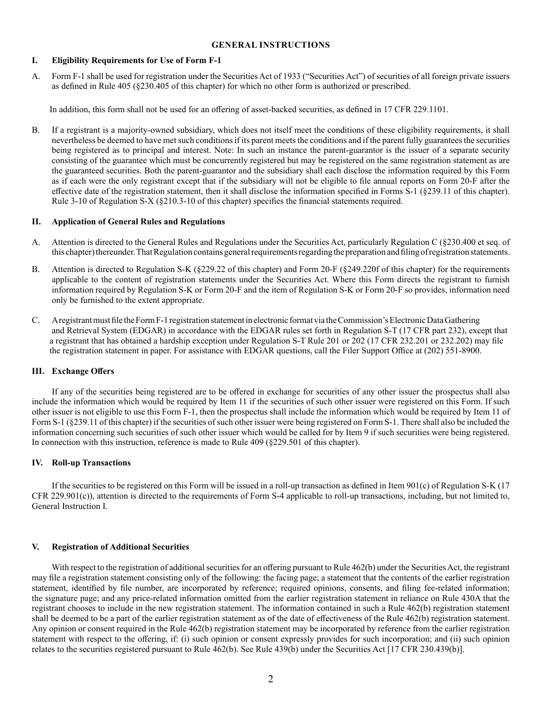#### **GENERAL INSTRUCTIONS**

#### **I. Eligibility Requirements for Use of Form F-1**

A. Form F-1 shall be used for registration under the Securities Act of 1933 ("Securities Act") of securities of all foreign private issuers as defined in Rule 405 (§230.405 of this chapter) for which no other form is authorized or prescribed.

In addition, this form shall not be used for an offering of asset-backed securities, as defined in 17 CFR 229.1101.

B. If a registrant is a majority-owned subsidiary, which does not itself meet the conditions of these eligibility requirements, it shall nevertheless be deemed to have met such conditions if its parent meets the conditions and if the parent fully guarantees the securities being registered as to principal and interest. Note: In such an instance the parent-guarantor is the issuer of a separate security consisting of the guarantee which must be concurrently registered but may be registered on the same registration statement as are the guaranteed securities. Both the parent-guarantor and the subsidiary shall each disclose the information required by this Form as if each were the only registrant except that if the subsidiary will not be eligible to file annual reports on Form 20-F after the effective date of the registration statement, then it shall disclose the information specified in Forms S-1 (§239.11 of this chapter). Rule 3-10 of Regulation S-X (§210.3-10 of this chapter) specifies the financial statements required.

#### **II. Application of General Rules and Regulations**

- A. Attention is directed to the General Rules and Regulations under the Securities Act, particularly Regulation C (§230.400 et seq. of this chapter) thereunder. That Regulation contains general requirements regarding the preparation and filing of registration statements.
- B. Attention is directed to Regulation S-K (§229.22 of this chapter) and Form 20-F (§249.220f of this chapter) for the requirements applicable to the content of registration statements under the Securities Act. Where this Form directs the registrant to furnish information required by Regulation S-K or Form 20-F and the item of Regulation S-K or Form 20-F so provides, information need only be furnished to the extent appropriate.
- C. A registrant must file the Form F-1 registration statement in electronic format via the Commission's Electronic Data Gathering and Retrieval System (EDGAR) in accordance with the EDGAR rules set forth in Regulation S-T (17 CFR part 232), except that a registrant that has obtained a hardship exception under Regulation S-T Rule 201 or 202 (17 CFR 232.201 or 232.202) may file the registration statement in paper. For assistance with EDGAR questions, call the Filer Support Office at (202) 551-8900.

#### **III. Exchange Offers**

If any of the securities being registered are to be offered in exchange for securities of any other issuer the prospectus shall also include the information which would be required by Item 11 if the securities of such other issuer were registered on this Form. If such other issuer is not eligible to use this Form F-1, then the prospectus shall include the information which would be required by Item 11 of Form S-1 (§239.11 of this chapter) if the securities of such other issuer were being registered on Form S-1. There shall also be included the information concerning such securities of such other issuer which would be called for by Item 9 if such securities were being registered. In connection with this instruction, reference is made to Rule 409 (§229.501 of this chapter).

#### **IV. Roll-up Transactions**

If the securities to be registered on this Form will be issued in a roll-up transaction as defined in Item  $901(c)$  of Regulation S-K (17) CFR 229.901(c)), attention is directed to the requirements of Form S-4 applicable to roll-up transactions, including, but not limited to, General Instruction I.

#### **V. Registration of Additional Securities**

With respect to the registration of additional securities for an offering pursuant to Rule 462(b) under the Securities Act, the registrant may file a registration statement consisting only of the following: the facing page; a statement that the contents of the earlier registration statement, identified by file number, are incorporated by reference; required opinions, consents, and filing fee-related information; the signature page; and any price-related information omitted from the earlier registration statement in reliance on Rule 430A that the registrant chooses to include in the new registration statement. The information contained in such a Rule 462(b) registration statement shall be deemed to be a part of the earlier registration statement as of the date of effectiveness of the Rule 462(b) registration statement. Any opinion or consent required in the Rule 462(b) registration statement may be incorporated by reference from the earlier registration statement with respect to the offering, if: (i) such opinion or consent expressly provides for such incorporation; and (ii) such opinion relates to the securities registered pursuant to Rule 462(b). See Rule 439(b) under the Securities Act [17 CFR 230.439(b)].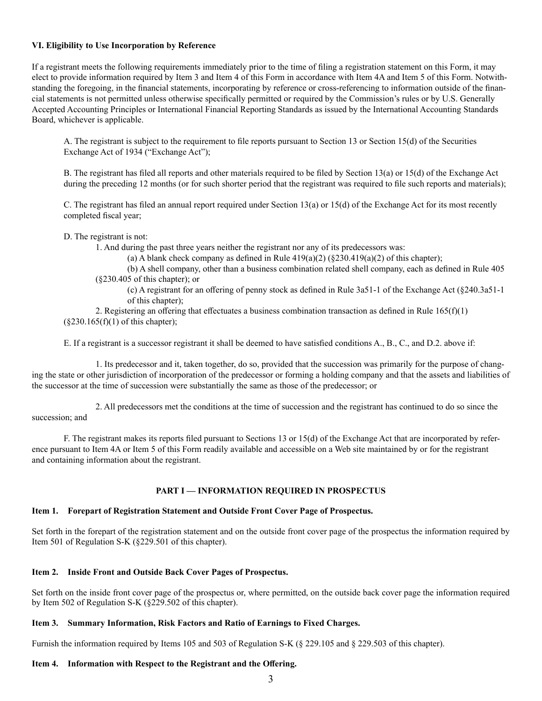#### **VI. Eligibility to Use Incorporation by Reference**

If a registrant meets the following requirements immediately prior to the time of filing a registration statement on this Form, it may elect to provide information required by Item 3 and Item 4 of this Form in accordance with Item 4A and Item 5 of this Form. Notwithstanding the foregoing, in the financial statements, incorporating by reference or cross-referencing to information outside of the financial statements is not permitted unless otherwise specifically permitted or required by the Commission's rules or by U.S. Generally Accepted Accounting Principles or International Financial Reporting Standards as issued by the International Accounting Standards Board, whichever is applicable.

A. The registrant is subject to the requirement to file reports pursuant to Section 13 or Section 15(d) of the Securities Exchange Act of 1934 ("Exchange Act");

B. The registrant has filed all reports and other materials required to be filed by Section 13(a) or 15(d) of the Exchange Act during the preceding 12 months (or for such shorter period that the registrant was required to file such reports and materials);

C. The registrant has filed an annual report required under Section 13(a) or 15(d) of the Exchange Act for its most recently completed fiscal year;

#### D. The registrant is not:

1. And during the past three years neither the registrant nor any of its predecessors was:

(a) A blank check company as defined in Rule  $419(a)(2)$  ( $\S 230.419(a)(2)$  of this chapter);

(b) A shell company, other than a business combination related shell company, each as defined in Rule 405 (§230.405 of this chapter); or

(c) A registrant for an offering of penny stock as defined in Rule 3a51-1 of the Exchange Act (§240.3a51-1 of this chapter);

2. Registering an offering that effectuates a business combination transaction as defined in Rule  $165(f)(1)$  $(\S 230.165(f)(1)$  of this chapter);

E. If a registrant is a successor registrant it shall be deemed to have satisfied conditions A., B., C., and D.2. above if:

1. Its predecessor and it, taken together, do so, provided that the succession was primarily for the purpose of changing the state or other jurisdiction of incorporation of the predecessor or forming a holding company and that the assets and liabilities of the successor at the time of succession were substantially the same as those of the predecessor; or

2. All predecessors met the conditions at the time of succession and the registrant has continued to do so since the succession; and

F. The registrant makes its reports filed pursuant to Sections 13 or 15(d) of the Exchange Act that are incorporated by reference pursuant to Item 4A or Item 5 of this Form readily available and accessible on a Web site maintained by or for the registrant and containing information about the registrant.

## **PART I — INFORMATION REQUIRED IN PROSPECTUS**

### **Item 1. Forepart of Registration Statement and Outside Front Cover Page of Prospectus.**

Set forth in the forepart of the registration statement and on the outside front cover page of the prospectus the information required by Item 501 of Regulation S-K (§229.501 of this chapter).

## **Item 2. Inside Front and Outside Back Cover Pages of Prospectus.**

Set forth on the inside front cover page of the prospectus or, where permitted, on the outside back cover page the information required by Item 502 of Regulation S-K (§229.502 of this chapter).

## **Item 3. Summary Information, Risk Factors and Ratio of Earnings to Fixed Charges.**

Furnish the information required by Items 105 and 503 of Regulation S-K (§ 229.105 and § 229.503 of this chapter).

#### **Item 4. Information with Respect to the Registrant and the Offering.**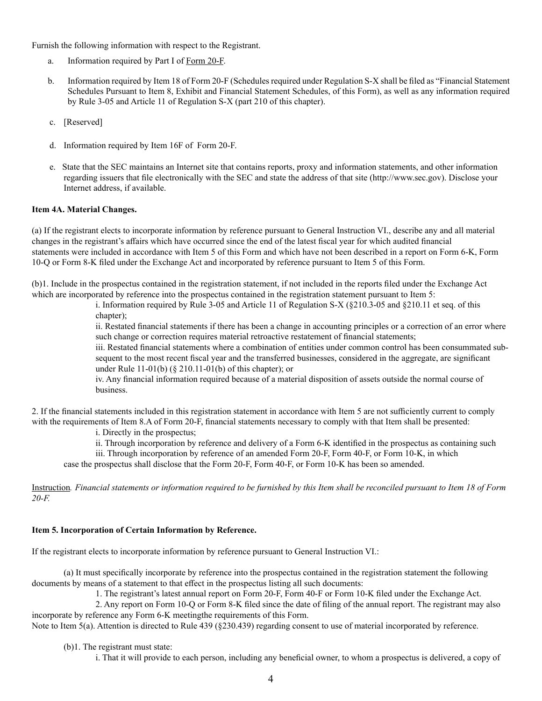Furnish the following information with respect to the Registrant.

- a. Information required by Part I of Form 20-F.
- b. Information required by Item 18 of Form 20-F (Schedules required under Regulation S-X shall be filed as "Financial Statement Schedules Pursuant to Item 8, Exhibit and Financial Statement Schedules, of this Form), as well as any information required by Rule 3-05 and Article 11 of Regulation S-X (part 210 of this chapter).
- c. [Reserved]
- d. Information required by Item 16F of Form 20-F.
- e. State that the SEC maintains an Internet site that contains reports, proxy and information statements, and other information regarding issuers that file electronically with the SEC and state the address of that site (http://www.sec.gov). Disclose your Internet address, if available.

## **Item 4A. Material Changes.**

(a) If the registrant elects to incorporate information by reference pursuant to General Instruction VI., describe any and all material changes in the registrant's affairs which have occurred since the end of the latest fiscal year for which audited financial statements were included in accordance with Item 5 of this Form and which have not been described in a report on Form 6-K, Form 10-Q or Form 8-K filed under the Exchange Act and incorporated by reference pursuant to Item 5 of this Form.

(b)1. Include in the prospectus contained in the registration statement, if not included in the reports filed under the Exchange Act which are incorporated by reference into the prospectus contained in the registration statement pursuant to Item 5:

> i. Information required by Rule 3-05 and Article 11 of Regulation S-X (§210.3-05 and §210.11 et seq. of this chapter);

ii. Restated financial statements if there has been a change in accounting principles or a correction of an error where such change or correction requires material retroactive restatement of financial statements;

iii. Restated financial statements where a combination of entities under common control has been consummated subsequent to the most recent fiscal year and the transferred businesses, considered in the aggregate, are significant under Rule 11-01(b) (§ 210.11-01(b) of this chapter); or

iv. Any financial information required because of a material disposition of assets outside the normal course of business.

2. If the financial statements included in this registration statement in accordance with Item 5 are not sufficiently current to comply with the requirements of Item 8.A of Form 20-F, financial statements necessary to comply with that Item shall be presented:

i. Directly in the prospectus;

ii. Through incorporation by reference and delivery of a Form 6-K identified in the prospectus as containing such

iii. Through incorporation by reference of an amended Form 20-F, Form 40-F, or Form 10-K, in which

case the prospectus shall disclose that the Form 20-F, Form 40-F, or Form 10-K has been so amended.

Instruction*. Financial statements or information required to be furnished by this Item shall be reconciled pursuant to Item 18 of Form 20-F.*

## **Item 5. Incorporation of Certain Information by Reference.**

If the registrant elects to incorporate information by reference pursuant to General Instruction VI.:

(a) It must specifically incorporate by reference into the prospectus contained in the registration statement the following documents by means of a statement to that effect in the prospectus listing all such documents:

1. The registrant's latest annual report on Form 20-F, Form 40-F or Form 10-K filed under the Exchange Act.

2. Any report on Form 10-Q or Form 8-K filed since the date of filing of the annual report. The registrant may also incorporate by reference any Form 6-K meetingthe requirements of this Form.

Note to Item 5(a). Attention is directed to Rule 439 (§230.439) regarding consent to use of material incorporated by reference.

(b)1. The registrant must state:

i. That it will provide to each person, including any beneficial owner, to whom a prospectus is delivered, a copy of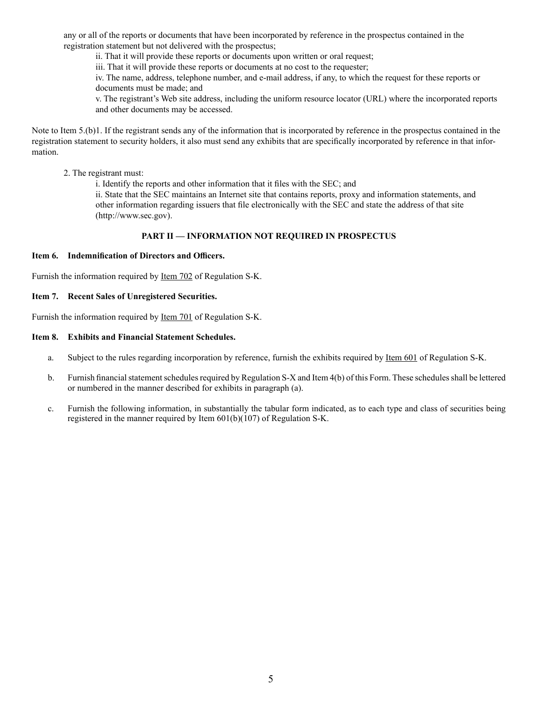any or all of the reports or documents that have been incorporated by reference in the prospectus contained in the registration statement but not delivered with the prospectus;

ii. That it will provide these reports or documents upon written or oral request;

iii. That it will provide these reports or documents at no cost to the requester;

iv. The name, address, telephone number, and e-mail address, if any, to which the request for these reports or documents must be made; and

v. The registrant's Web site address, including the uniform resource locator (URL) where the incorporated reports and other documents may be accessed.

Note to Item 5.(b)1. If the registrant sends any of the information that is incorporated by reference in the prospectus contained in the registration statement to security holders, it also must send any exhibits that are specifically incorporated by reference in that information.

2. The registrant must:

i. Identify the reports and other information that it files with the SEC; and

ii. State that the SEC maintains an Internet site that contains reports, proxy and information statements, and other information regarding issuers that file electronically with the SEC and state the address of that site (http://www.sec.gov).

# **PART II — INFORMATION NOT REQUIRED IN PROSPECTUS**

## **Item 6. Indemnification of Directors and Officers.**

Furnish the information required by Item 702 of Regulation S-K.

### **Item 7. Recent Sales of Unregistered Securities.**

Furnish the information required by Item 701 of Regulation S-K.

### **Item 8. Exhibits and Financial Statement Schedules.**

- a. Subject to the rules regarding incorporation by reference, furnish the exhibits required by Item 601 of Regulation S-K.
- b. Furnish financial statement schedules required by Regulation S-X and Item 4(b) of this Form. These schedules shall be lettered or numbered in the manner described for exhibits in paragraph (a).
- c. Furnish the following information, in substantially the tabular form indicated, as to each type and class of securities being registered in the manner required by Item 601(b)(107) of Regulation S-K.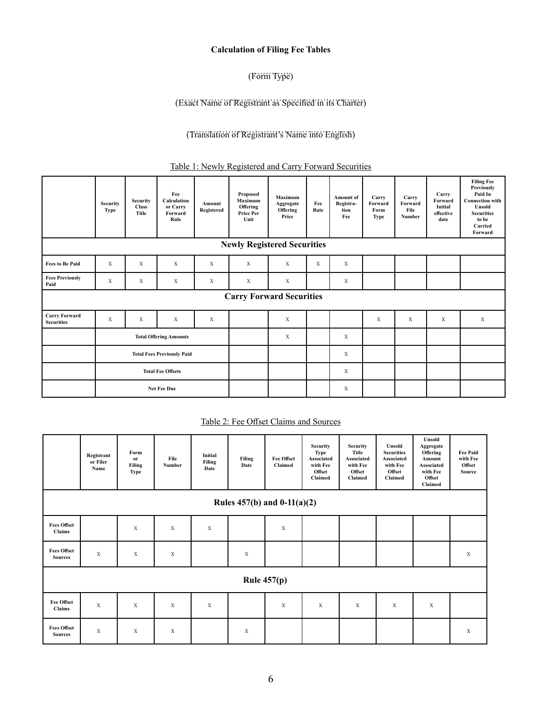# **Calculation of Filing Fee Tables**

# (Form Type)

# ……………………………………………………..… (Exact Name of Registrant as Specified in its Charter)

# ………………………………………………… (Translation of Registrant's Name into English)

# Table 1: Newly Registered and Carry Forward Securities

|                                           | <b>Security</b><br>Type           | Security<br><b>Class</b><br>Title | Fee<br>Calculation<br>or Carry<br>Forward<br>Rule | Amount<br>Registered | Proposed<br><b>Maximum</b><br>Offering<br><b>Price Per</b><br>Unit | <b>Maximum</b><br>Aggregate<br>Offering<br>Price | Fee<br>Rate | <b>Amount of</b><br>Registra-<br>tion<br>Fee | Carry<br>Forward<br>Form<br>Type | Carry<br>Forward<br>File<br>Number | Carry<br>Forward<br>Initial<br>effective<br>date | <b>Filing Fee</b><br><b>Previously</b><br>Paid In<br><b>Connection</b> with<br>Unsold<br><b>Securities</b><br>to be<br>Carried<br>Forward |
|-------------------------------------------|-----------------------------------|-----------------------------------|---------------------------------------------------|----------------------|--------------------------------------------------------------------|--------------------------------------------------|-------------|----------------------------------------------|----------------------------------|------------------------------------|--------------------------------------------------|-------------------------------------------------------------------------------------------------------------------------------------------|
|                                           |                                   |                                   |                                                   |                      | <b>Newly Registered Securities</b>                                 |                                                  |             |                                              |                                  |                                    |                                                  |                                                                                                                                           |
| <b>Fees to Be Paid</b>                    | X                                 | X                                 | X                                                 | $\mathbf X$          | X                                                                  | X                                                | X           | X                                            |                                  |                                    |                                                  |                                                                                                                                           |
| <b>Fees Previously</b><br>Paid            | X                                 | X                                 | X                                                 | $\mathbf X$          | $\mathbf X$                                                        | $\mathbf X$                                      |             | X                                            |                                  |                                    |                                                  |                                                                                                                                           |
|                                           |                                   |                                   |                                                   |                      | <b>Carry Forward Securities</b>                                    |                                                  |             |                                              |                                  |                                    |                                                  |                                                                                                                                           |
| <b>Carry Forward</b><br><b>Securities</b> | X                                 | X                                 | X                                                 | X                    |                                                                    | $\mathbf X$                                      |             |                                              | $\mathbf x$                      | X                                  | X                                                | X                                                                                                                                         |
|                                           | <b>Total Offering Amounts</b>     |                                   |                                                   |                      |                                                                    | X                                                |             | X                                            |                                  |                                    |                                                  |                                                                                                                                           |
|                                           | <b>Total Fees Previously Paid</b> |                                   |                                                   |                      |                                                                    |                                                  |             | $\mathbf X$                                  |                                  |                                    |                                                  |                                                                                                                                           |
|                                           | <b>Total Fee Offsets</b>          |                                   |                                                   |                      |                                                                    |                                                  |             | X                                            |                                  |                                    |                                                  |                                                                                                                                           |
|                                           | Net Fee Due                       |                                   |                                                   |                      |                                                                    |                                                  |             | X                                            |                                  |                                    |                                                  |                                                                                                                                           |

## Table 2: Fee Offset Claims and Sources

|                                      | Registrant<br>or Filer<br>Name | Form<br>or<br>Filing<br><b>Type</b> | File<br>Number | Initial<br>Filing<br>Date | Filing<br>Date | <b>Fee Offset</b><br>Claimed | Security<br><b>Type</b><br>Associated<br>with Fee<br>Offset<br>Claimed | <b>Security</b><br>Title<br>Associated<br>with Fee<br>Offset<br>Claimed | Unsold<br><b>Securities</b><br><b>Associated</b><br>with Fee<br>Offset<br>Claimed | Unsold<br>Aggregate<br>Offering<br>Amount<br>Associated<br>with Fee<br>Offset<br>Claimed | <b>Fee Paid</b><br>with Fee<br>Offset<br>Source |
|--------------------------------------|--------------------------------|-------------------------------------|----------------|---------------------------|----------------|------------------------------|------------------------------------------------------------------------|-------------------------------------------------------------------------|-----------------------------------------------------------------------------------|------------------------------------------------------------------------------------------|-------------------------------------------------|
| Rules $457(b)$ and $0-11(a)(2)$      |                                |                                     |                |                           |                |                              |                                                                        |                                                                         |                                                                                   |                                                                                          |                                                 |
| <b>Fees Offset</b><br>Claims         |                                | $\mathbf X$                         | X              | X                         |                | $\mathbf X$                  |                                                                        |                                                                         |                                                                                   |                                                                                          |                                                 |
| <b>Fees Offset</b><br><b>Sources</b> | $\mathbf X$                    | X                                   | $\mathbf X$    |                           | $\mathbf X$    |                              |                                                                        |                                                                         |                                                                                   |                                                                                          | $\mathbf x$                                     |
| Rule $457(p)$                        |                                |                                     |                |                           |                |                              |                                                                        |                                                                         |                                                                                   |                                                                                          |                                                 |
| <b>Fee Offset</b><br>Claims          | $\mathbf X$                    | $\mathbf X$                         | $\mathbf x$    | $\mathbf X$               |                | X                            | X                                                                      | X                                                                       | $\mathbf X$                                                                       | $\mathbf X$                                                                              |                                                 |
| <b>Fees Offset</b><br><b>Sources</b> | $\mathbf X$                    | X                                   | X              |                           | X              |                              |                                                                        |                                                                         |                                                                                   |                                                                                          | $\mathbf X$                                     |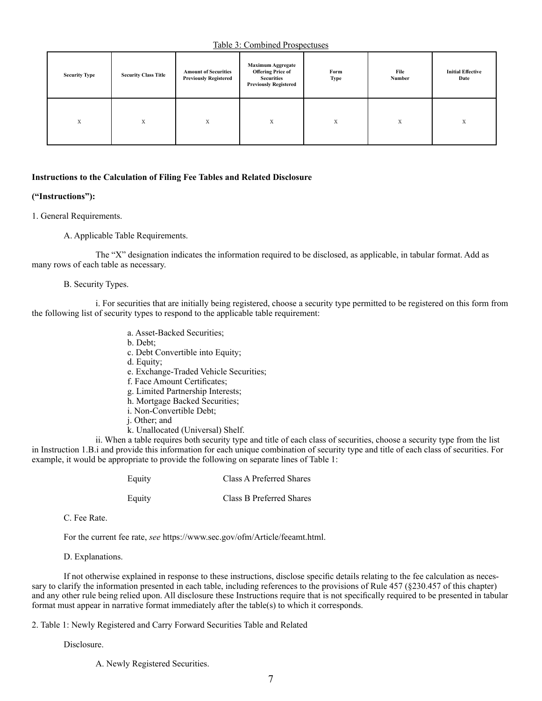Table 3: Combined Prospectuses

| <b>Security Type</b> | <b>Security Class Title</b> | <b>Amount of Securities</b><br><b>Previously Registered</b> | <b>Maximum Aggregate</b><br><b>Offering Price of</b><br><b>Securities</b><br><b>Previously Registered</b> | Form<br><b>Type</b> | File<br>Number | <b>Initial Effective</b><br>Date |
|----------------------|-----------------------------|-------------------------------------------------------------|-----------------------------------------------------------------------------------------------------------|---------------------|----------------|----------------------------------|
| X                    | X                           | X                                                           | X                                                                                                         | X                   | X              | X                                |

#### **Instructions to the Calculation of Filing Fee Tables and Related Disclosure**

### **("Instructions"):**

1. General Requirements.

A. Applicable Table Requirements.

The "X" designation indicates the information required to be disclosed, as applicable, in tabular format. Add as many rows of each table as necessary.

#### B. Security Types.

i. For securities that are initially being registered, choose a security type permitted to be registered on this form from the following list of security types to respond to the applicable table requirement:

- a. Asset-Backed Securities;
- b. Debt;
- c. Debt Convertible into Equity;
- d. Equity;
- e. Exchange-Traded Vehicle Securities;
- f. Face Amount Certificates;
- g. Limited Partnership Interests;
- h. Mortgage Backed Securities;
- i. Non-Convertible Debt;
- j. Other; and
- k. Unallocated (Universal) Shelf.

ii. When a table requires both security type and title of each class of securities, choose a security type from the list in Instruction 1.B.i and provide this information for each unique combination of security type and title of each class of securities. For example, it would be appropriate to provide the following on separate lines of Table 1:

| Equity | Class A Preferred Shares |
|--------|--------------------------|
| Equity | Class B Preferred Shares |

C. Fee Rate.

For the current fee rate, *see* https://www.sec.gov/ofm/Article/feeamt.html.

D. Explanations.

If not otherwise explained in response to these instructions, disclose specific details relating to the fee calculation as necessary to clarify the information presented in each table, including references to the provisions of Rule 457 (§230.457 of this chapter) and any other rule being relied upon. All disclosure these Instructions require that is not specifically required to be presented in tabular format must appear in narrative format immediately after the table(s) to which it corresponds.

#### 2. Table 1: Newly Registered and Carry Forward Securities Table and Related

Disclosure.

A. Newly Registered Securities.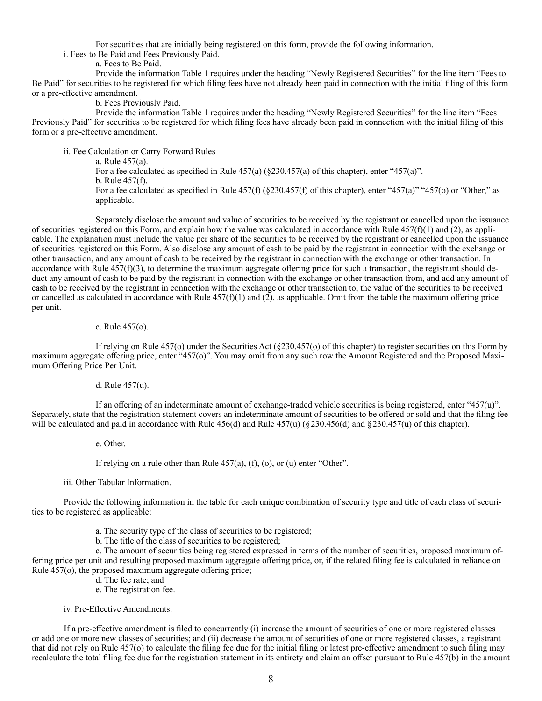For securities that are initially being registered on this form, provide the following information.

i. Fees to Be Paid and Fees Previously Paid.

a. Fees to Be Paid.

Provide the information Table 1 requires under the heading "Newly Registered Securities" for the line item "Fees to Be Paid" for securities to be registered for which filing fees have not already been paid in connection with the initial filing of this form or a pre-effective amendment.

b. Fees Previously Paid.

Provide the information Table 1 requires under the heading "Newly Registered Securities" for the line item "Fees Previously Paid" for securities to be registered for which filing fees have already been paid in connection with the initial filing of this form or a pre-effective amendment.

ii. Fee Calculation or Carry Forward Rules

a. Rule 457(a). For a fee calculated as specified in Rule  $457(a)$  ( $\S 230.457(a)$  of this chapter), enter " $457(a)$ ". b. Rule 457(f). For a fee calculated as specified in Rule  $457(f)(\frac{230.457(f)}{f})$  of this chapter), enter "457(a)" "457(o) or "Other," as applicable.

Separately disclose the amount and value of securities to be received by the registrant or cancelled upon the issuance of securities registered on this Form, and explain how the value was calculated in accordance with Rule  $457(f)(1)$  and (2), as applicable. The explanation must include the value per share of the securities to be received by the registrant or cancelled upon the issuance of securities registered on this Form. Also disclose any amount of cash to be paid by the registrant in connection with the exchange or other transaction, and any amount of cash to be received by the registrant in connection with the exchange or other transaction. In accordance with Rule  $457(f)(3)$ , to determine the maximum aggregate offering price for such a transaction, the registrant should deduct any amount of cash to be paid by the registrant in connection with the exchange or other transaction from, and add any amount of cash to be received by the registrant in connection with the exchange or other transaction to, the value of the securities to be received or cancelled as calculated in accordance with Rule  $457(f)(1)$  and (2), as applicable. Omit from the table the maximum offering price per unit.

#### c. Rule 457(o).

If relying on Rule 457(o) under the Securities Act (§230.457(o) of this chapter) to register securities on this Form by maximum aggregate offering price, enter "457(o)". You may omit from any such row the Amount Registered and the Proposed Maximum Offering Price Per Unit.

#### d. Rule 457(u).

If an offering of an indeterminate amount of exchange-traded vehicle securities is being registered, enter "457(u)". Separately, state that the registration statement covers an indeterminate amount of securities to be offered or sold and that the filing fee will be calculated and paid in accordance with Rule  $456(d)$  and Rule  $457(u)$  (§230.456(d) and §230.457(u) of this chapter).

e. Other.

If relying on a rule other than Rule  $457(a)$ ,  $(f)$ ,  $(o)$ , or  $(u)$  enter "Other".

iii. Other Tabular Information.

Provide the following information in the table for each unique combination of security type and title of each class of securities to be registered as applicable:

- a. The security type of the class of securities to be registered;
- b. The title of the class of securities to be registered;

c. The amount of securities being registered expressed in terms of the number of securities, proposed maximum offering price per unit and resulting proposed maximum aggregate offering price, or, if the related filing fee is calculated in reliance on Rule 457(o), the proposed maximum aggregate offering price;

- d. The fee rate; and
- e. The registration fee.

iv. Pre-Effective Amendments.

If a pre-effective amendment is filed to concurrently (i) increase the amount of securities of one or more registered classes or add one or more new classes of securities; and (ii) decrease the amount of securities of one or more registered classes, a registrant that did not rely on Rule 457(o) to calculate the filing fee due for the initial filing or latest pre-effective amendment to such filing may recalculate the total filing fee due for the registration statement in its entirety and claim an offset pursuant to Rule 457(b) in the amount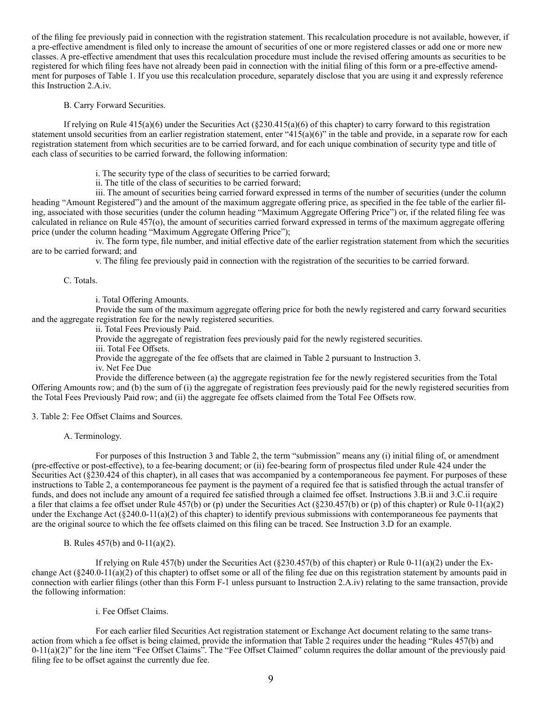of the filing fee previously paid in connection with the registration statement. This recalculation procedure is not available, however, if a pre-effective amendment is filed only to increase the amount of securities of one or more registered classes or add one or more new classes. A pre-effective amendment that uses this recalculation procedure must include the revised offering amounts as securities to be registered for which filing fees have not already been paid in connection with the initial filing of this form or a pre-effective amendment for purposes of Table 1. If you use this recalculation procedure, separately disclose that you are using it and expressly reference this Instruction 2.A.iv.

B. Carry Forward Securities.

If relying on Rule  $415(a)(6)$  under the Securities Act  $(\frac{230.415(a)(6)}{6})$  of this chapter) to carry forward to this registration statement unsold securities from an earlier registration statement, enter "415(a)(6)" in the table and provide, in a separate row for each registration statement from which securities are to be carried forward, and for each unique combination of security type and title of each class of securities to be carried forward, the following information:

- i. The security type of the class of securities to be carried forward;
- ii. The title of the class of securities to be carried forward;

iii. The amount of securities being carried forward expressed in terms of the number of securities (under the column heading "Amount Registered") and the amount of the maximum aggregate offering price, as specified in the fee table of the earlier filing, associated with those securities (under the column heading "Maximum Aggregate Offering Price") or, if the related filing fee was calculated in reliance on Rule 457(o), the amount of securities carried forward expressed in terms of the maximum aggregate offering price (under the column heading "Maximum Aggregate Offering Price");

iv. The form type, file number, and initial effective date of the earlier registration statement from which the securities are to be carried forward; and

v. The filing fee previously paid in connection with the registration of the securities to be carried forward.

C. Totals.

i. Total Offering Amounts.

Provide the sum of the maximum aggregate offering price for both the newly registered and carry forward securities and the aggregate registration fee for the newly registered securities.

ii. Total Fees Previously Paid.

Provide the aggregate of registration fees previously paid for the newly registered securities.

iii. Total Fee Offsets.

Provide the aggregate of the fee offsets that are claimed in Table 2 pursuant to Instruction 3.

iv. Net Fee Due

Provide the difference between (a) the aggregate registration fee for the newly registered securities from the Total Offering Amounts row; and (b) the sum of (i) the aggregate of registration fees previously paid for the newly registered securities from the Total Fees Previously Paid row; and (ii) the aggregate fee offsets claimed from the Total Fee Offsets row.

3. Table 2: Fee Offset Claims and Sources.

A. Terminology.

For purposes of this Instruction 3 and Table 2, the term "submission" means any (i) initial filing of, or amendment (pre-effective or post-effective), to a fee-bearing document; or (ii) fee-bearing form of prospectus filed under Rule 424 under the Securities Act (§230.424 of this chapter), in all cases that was accompanied by a contemporaneous fee payment. For purposes of these instructions to Table 2, a contemporaneous fee payment is the payment of a required fee that is satisfied through the actual transfer of funds, and does not include any amount of a required fee satisfied through a claimed fee offset. Instructions 3.B.ii and 3.C.ii require a filer that claims a fee offset under Rule 457(b) or (p) under the Securities Act ( $\&230.457(b)$  or (p) of this chapter) or Rule 0-11(a)(2) under the Exchange Act (§240.0-11(a)(2) of this chapter) to identify previous submissions with contemporaneous fee payments that are the original source to which the fee offsets claimed on this filing can be traced. See Instruction 3.D for an example.

B. Rules 457(b) and 0-11(a)(2).

If relying on Rule 457(b) under the Securities Act ( $\S$ 230.457(b) of this chapter) or Rule 0-11(a)(2) under the Exchange Act  $(\frac{8240.0-11(a)(2)}{6}$  of this chapter) to offset some or all of the filing fee due on this registration statement by amounts paid in connection with earlier filings (other than this Form F-1 unless pursuant to Instruction 2.A.iv) relating to the same transaction, provide the following information:

i. Fee Offset Claims.

For each earlier filed Securities Act registration statement or Exchange Act document relating to the same transaction from which a fee offset is being claimed, provide the information that Table 2 requires under the heading "Rules 457(b) and 0-11(a)(2)" for the line item "Fee Offset Claims". The "Fee Offset Claimed" column requires the dollar amount of the previously paid filing fee to be offset against the currently due fee.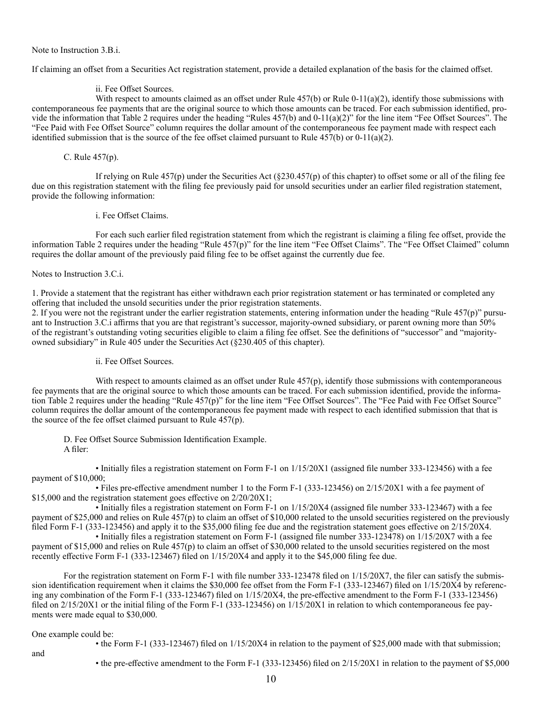Note to Instruction 3.B.i.

If claiming an offset from a Securities Act registration statement, provide a detailed explanation of the basis for the claimed offset.

### ii. Fee Offset Sources.

With respect to amounts claimed as an offset under Rule  $457(b)$  or Rule 0-11(a)(2), identify those submissions with contemporaneous fee payments that are the original source to which those amounts can be traced. For each submission identified, provide the information that Table 2 requires under the heading "Rules 457(b) and 0-11(a)(2)" for the line item "Fee Offset Sources". The "Fee Paid with Fee Offset Source" column requires the dollar amount of the contemporaneous fee payment made with respect each identified submission that is the source of the fee offset claimed pursuant to Rule  $457(b)$  or  $0-11(a)(2)$ .

### C. Rule 457(p).

If relying on Rule 457(p) under the Securities Act  $(\frac{230.457(p)}{p})$  of this chapter) to offset some or all of the filing fee due on this registration statement with the filing fee previously paid for unsold securities under an earlier filed registration statement, provide the following information:

i. Fee Offset Claims.

For each such earlier filed registration statement from which the registrant is claiming a filing fee offset, provide the information Table 2 requires under the heading "Rule 457(p)" for the line item "Fee Offset Claims". The "Fee Offset Claimed" column requires the dollar amount of the previously paid filing fee to be offset against the currently due fee.

Notes to Instruction 3.C.i.

1. Provide a statement that the registrant has either withdrawn each prior registration statement or has terminated or completed any offering that included the unsold securities under the prior registration statements.

2. If you were not the registrant under the earlier registration statements, entering information under the heading "Rule 457(p)" pursuant to Instruction 3.C.i affirms that you are that registrant's successor, majority-owned subsidiary, or parent owning more than 50% of the registrant's outstanding voting securities eligible to claim a filing fee offset. See the definitions of "successor" and "majorityowned subsidiary" in Rule 405 under the Securities Act (§230.405 of this chapter).

ii. Fee Offset Sources.

With respect to amounts claimed as an offset under Rule 457(p), identify those submissions with contemporaneous fee payments that are the original source to which those amounts can be traced. For each submission identified, provide the information Table 2 requires under the heading "Rule 457(p)" for the line item "Fee Offset Sources". The "Fee Paid with Fee Offset Source" column requires the dollar amount of the contemporaneous fee payment made with respect to each identified submission that that is the source of the fee offset claimed pursuant to Rule 457(p).

D. Fee Offset Source Submission Identification Example. A filer:

• Initially files a registration statement on Form F-1 on 1/15/20X1 (assigned file number 333-123456) with a fee payment of \$10,000;

• Files pre-effective amendment number 1 to the Form F-1 (333-123456) on 2/15/20X1 with a fee payment of \$15,000 and the registration statement goes effective on  $2/20/20X1$ ;

• Initially files a registration statement on Form F-1 on 1/15/20X4 (assigned file number 333-123467) with a fee payment of \$25,000 and relies on Rule 457(p) to claim an offset of \$10,000 related to the unsold securities registered on the previously filed Form F-1 (333-123456) and apply it to the \$35,000 filing fee due and the registration statement goes effective on 2/15/20X4.

• Initially files a registration statement on Form F-1 (assigned file number 333-123478) on 1/15/20X7 with a fee payment of \$15,000 and relies on Rule 457(p) to claim an offset of \$30,000 related to the unsold securities registered on the most recently effective Form F-1 (333-123467) filed on 1/15/20X4 and apply it to the \$45,000 filing fee due.

For the registration statement on Form F-1 with file number 333-123478 filed on  $1/15/20X7$ , the filer can satisfy the submission identification requirement when it claims the \$30,000 fee offset from the Form F-1 (333-123467) filed on 1/15/20X4 by referencing any combination of the Form F-1 (333-123467) filed on 1/15/20X4, the pre-effective amendment to the Form F-1 (333-123456) filed on  $2/15/20X1$  or the initial filing of the Form F-1 (333-123456) on  $1/15/20X1$  in relation to which contemporaneous fee payments were made equal to \$30,000.

## One example could be:

and

• the Form F-1 (333-123467) filed on 1/15/20X4 in relation to the payment of \$25,000 made with that submission;

• the pre-effective amendment to the Form F-1 (333-123456) filed on 2/15/20X1 in relation to the payment of \$5,000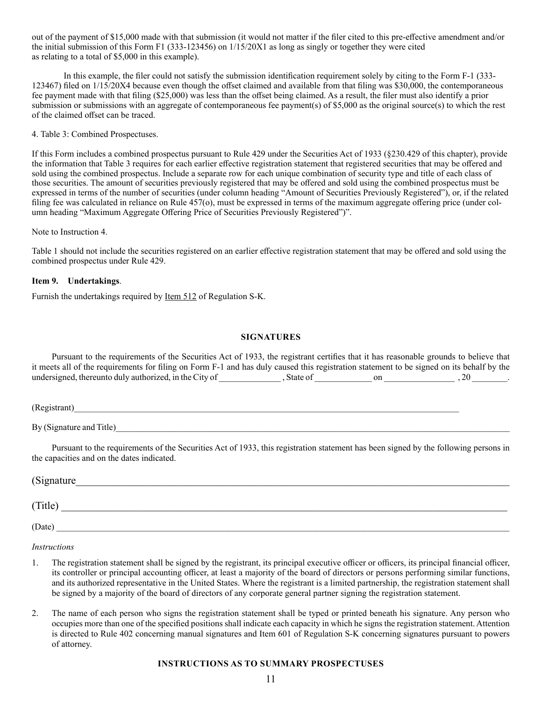out of the payment of \$15,000 made with that submission (it would not matter if the filer cited to this pre-effective amendment and/or the initial submission of this Form F1 (333-123456) on 1/15/20X1 as long as singly or together they were cited as relating to a total of \$5,000 in this example).

In this example, the filer could not satisfy the submission identification requirement solely by citing to the Form F-1 (333- 123467) filed on 1/15/20X4 because even though the offset claimed and available from that filing was \$30,000, the contemporaneous fee payment made with that filing (\$25,000) was less than the offset being claimed. As a result, the filer must also identify a prior submission or submissions with an aggregate of contemporaneous fee payment(s) of \$5,000 as the original source(s) to which the rest of the claimed offset can be traced.

4. Table 3: Combined Prospectuses.

If this Form includes a combined prospectus pursuant to Rule 429 under the Securities Act of 1933 (§230.429 of this chapter), provide the information that Table 3 requires for each earlier effective registration statement that registered securities that may be offered and sold using the combined prospectus. Include a separate row for each unique combination of security type and title of each class of those securities. The amount of securities previously registered that may be offered and sold using the combined prospectus must be expressed in terms of the number of securities (under column heading "Amount of Securities Previously Registered"), or, if the related filing fee was calculated in reliance on Rule 457(o), must be expressed in terms of the maximum aggregate offering price (under column heading "Maximum Aggregate Offering Price of Securities Previously Registered")".

Note to Instruction 4.

Table 1 should not include the securities registered on an earlier effective registration statement that may be offered and sold using the combined prospectus under Rule 429.

## **Item 9. Undertakings**.

Furnish the undertakings required by Item 512 of Regulation S-K.

### **SIGNATURES**

Pursuant to the requirements of the Securities Act of 1933, the registrant certifies that it has reasonable grounds to believe that it meets all of the requirements for filing on Form F-1 and has duly caused this registration statement to be signed on its behalf by the undersigned, thereunto duly authorized, in the City of \_\_\_\_\_\_\_\_\_\_\_\_\_\_ , State of \_\_\_\_\_\_\_\_\_\_\_\_\_ on \_\_\_\_\_\_\_\_\_\_\_\_\_\_\_\_ , 20 \_\_\_\_\_\_\_\_.

(Registrant)\_\_\_\_\_\_\_\_\_\_\_\_\_\_\_\_\_\_\_\_\_\_\_\_\_\_\_\_\_\_\_\_\_\_\_\_\_\_\_\_\_\_\_\_\_\_\_\_\_\_\_\_\_\_\_\_\_\_\_\_\_\_\_\_\_\_\_\_\_\_\_\_\_\_\_\_\_\_\_\_\_\_\_\_\_\_\_

By  $(Signature and Title)$ 

Pursuant to the requirements of the Securities Act of 1933, this registration statement has been signed by the following persons in the capacities and on the dates indicated.

| (Signature |  |  |  |
|------------|--|--|--|
| (Title)    |  |  |  |

 $(Date)$ 

*Instructions*

- 1. The registration statement shall be signed by the registrant, its principal executive officer or officers, its principal financial officer, its controller or principal accounting officer, at least a majority of the board of directors or persons performing similar functions, and its authorized representative in the United States. Where the registrant is a limited partnership, the registration statement shall be signed by a majority of the board of directors of any corporate general partner signing the registration statement.
- 2. The name of each person who signs the registration statement shall be typed or printed beneath his signature. Any person who occupies more than one of the specified positions shall indicate each capacity in which he signs the registration statement. Attention is directed to Rule 402 concerning manual signatures and Item 601 of Regulation S-K concerning signatures pursuant to powers of attorney.

### **INSTRUCTIONS AS TO SUMMARY PROSPECTUSES**